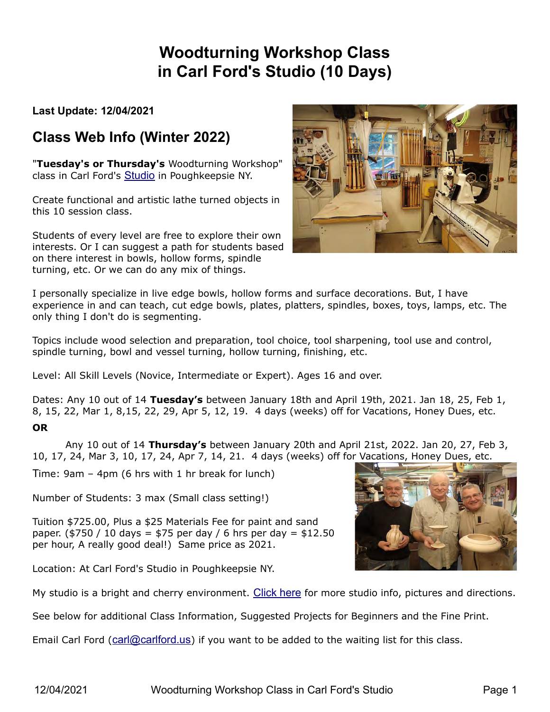# **Woodturning Workshop Class in Carl Ford's Studio (10 Days)**

**Last Update: 12/04/2021**

## **Class Web Info (Winter 2022)**

"**Tuesday's or Thursday's** Woodturning Workshop" class in Carl Ford's [Studio](http://carlford.info/blog/carls-studio/) in Poughkeepsie NY.

Create functional and artistic lathe turned objects in this 10 session class.

Students of every level are free to explore their own interests. Or I can suggest a path for students based on there interest in bowls, hollow forms, spindle turning, etc. Or we can do any mix of things.



I personally specialize in live edge bowls, hollow forms and surface decorations. But, I have experience in and can teach, cut edge bowls, plates, platters, spindles, boxes, toys, lamps, etc. The only thing I don't do is segmenting.

Topics include wood selection and preparation, tool choice, tool sharpening, tool use and control, spindle turning, bowl and vessel turning, hollow turning, finishing, etc.

Level: All Skill Levels (Novice, Intermediate or Expert). Ages 16 and over.

Dates: Any 10 out of 14 **Tuesday's** between January 18th and April 19th, 2021. Jan 18, 25, Feb 1, 8, 15, 22, Mar 1, 8,15, 22, 29, Apr 5, 12, 19. 4 days (weeks) off for Vacations, Honey Dues, etc.

#### **OR**

 Any 10 out of 14 **Thursday's** between January 20th and April 21st, 2022. Jan 20, 27, Feb 3, 10, 17, 24, Mar 3, 10, 17, 24, Apr 7, 14, 21. 4 days (weeks) off for Vacations, Honey Dues, etc.

Time: 9am – 4pm (6 hrs with 1 hr break for lunch)

Number of Students: 3 max (Small class setting!)

Tuition \$725.00, Plus a \$25 Materials Fee for paint and sand paper. (\$750 / 10 days = \$75 per day / 6 hrs per day = \$12.50 per hour, A really good deal!) Same price as 2021.

Location: At Carl Ford's Studio in Poughkeepsie NY.

My studio is a bright and cherry environment. [Click here](http://carlford.info/blog/carls-studio/) for more studio info, pictures and directions.

See below for additional Class Information, Suggested Projects for Beginners and the Fine Print.

Email Carl Ford ([carl@carlford.us](mailto:carl@carlford.us?subject=I%20want%20to%20attend%20your%20Woodturning%20Workshop%20Class)) if you want to be added to the waiting list for this class.

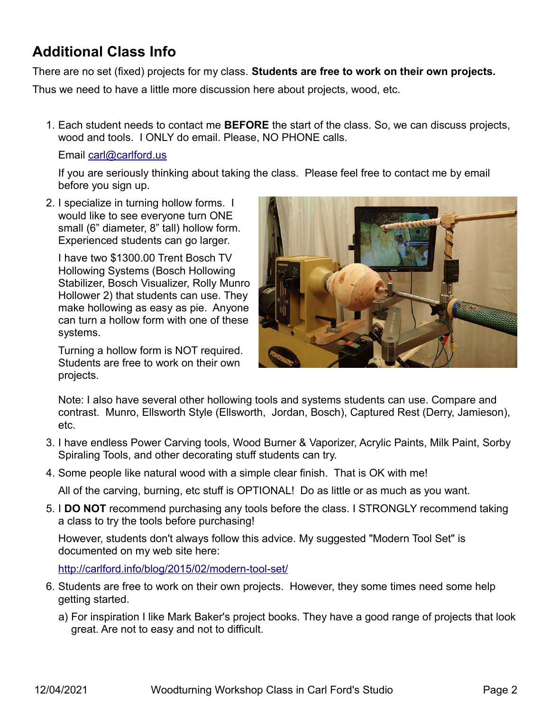## **Additional Class Info**

There are no set (fixed) projects for my class. **Students are free to work on their own projects.**

Thus we need to have a little more discussion here about projects, wood, etc.

 1. Each student needs to contact me **BEFORE** the start of the class. So, we can discuss projects, wood and tools. I ONLY do email. Please, NO PHONE calls.

### Email [carl@carlford.us](mailto:carl@carlford.us)

If you are seriously thinking about taking the class. Please feel free to contact me by email before you sign up.

 2. I specialize in turning hollow forms. I would like to see everyone turn ONE small (6" diameter, 8" tall) hollow form. Experienced students can go larger.

I have two \$1300.00 Trent Bosch TV Hollowing Systems (Bosch Hollowing Stabilizer, Bosch Visualizer, Rolly Munro Hollower 2) that students can use. They make hollowing as easy as pie. Anyone can turn a hollow form with one of these systems.

Turning a hollow form is NOT required. Students are free to work on their own projects.



Note: I also have several other hollowing tools and systems students can use. Compare and contrast. Munro, Ellsworth Style (Ellsworth, Jordan, Bosch), Captured Rest (Derry, Jamieson), etc.

- 3. I have endless Power Carving tools, Wood Burner & Vaporizer, Acrylic Paints, Milk Paint, Sorby Spiraling Tools, and other decorating stuff students can try.
- 4. Some people like natural wood with a simple clear finish. That is OK with me!

All of the carving, burning, etc stuff is OPTIONAL! Do as little or as much as you want.

 5. I **DO NOT** recommend purchasing any tools before the class. I STRONGLY recommend taking a class to try the tools before purchasing!

However, students don't always follow this advice. My suggested "Modern Tool Set" is documented on my web site here:

<http://carlford.info/blog/2015/02/modern-tool-set/>

- 6. Students are free to work on their own projects. However, they some times need some help getting started.
	- a) For inspiration I like Mark Baker's project books. They have a good range of projects that look great. Are not to easy and not to difficult.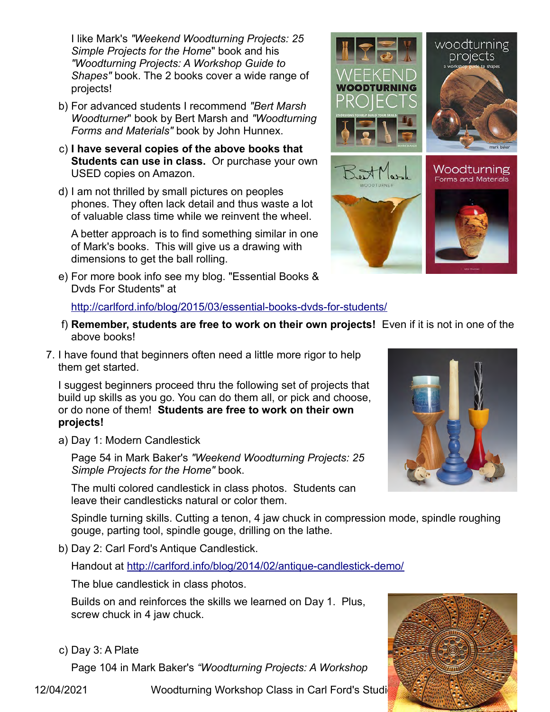I like Mark's *"Weekend Woodturning Projects: 25 Simple Projects for the Home*" book and his *"Woodturning Projects: A Workshop Guide to Shapes"* book. The 2 books cover a wide range of projects!

- b) For advanced students I recommend *"Bert Marsh Woodturner*" book by Bert Marsh and *"Woodturning Forms and Materials"* book by John Hunnex.
- c) **I have several copies of the above books that Students can use in class.** Or purchase your own USED copies on Amazon.
- d) I am not thrilled by small pictures on peoples phones. They often lack detail and thus waste a lot of valuable class time while we reinvent the wheel.

A better approach is to find something similar in one of Mark's books. This will give us a drawing with dimensions to get the ball rolling.

 e) For more book info see my blog. "Essential Books & Dvds For Students" at

<http://carlford.info/blog/2015/03/essential-books-dvds-for-students/>

- f) **Remember, students are free to work on their own projects!** Even if it is not in one of the above books!
- 7. I have found that beginners often need a little more rigor to help them get started.

I suggest beginners proceed thru the following set of projects that build up skills as you go. You can do them all, or pick and choose, or do none of them! **Students are free to work on their own projects!**

a) Day 1: Modern Candlestick

Page 54 in Mark Baker's *"Weekend Woodturning Projects: 25 Simple Projects for the Home"* book.

The multi colored candlestick in class photos. Students can leave their candlesticks natural or color them.

Spindle turning skills. Cutting a tenon, 4 jaw chuck in compression mode, spindle roughing gouge, parting tool, spindle gouge, drilling on the lathe.

b) Day 2: Carl Ford's Antique Candlestick.

Handout at<http://carlford.info/blog/2014/02/antique-candlestick-demo/>

The blue candlestick in class photos.

Builds on and reinforces the skills we learned on Day 1. Plus, screw chuck in 4 jaw chuck.

c) Day 3: A Plate

Page 104 in Mark Baker's *"Woodturning Projects: A Workshop* 



12/04/2021 Woodturning Workshop Class in Carl Ford's Studio





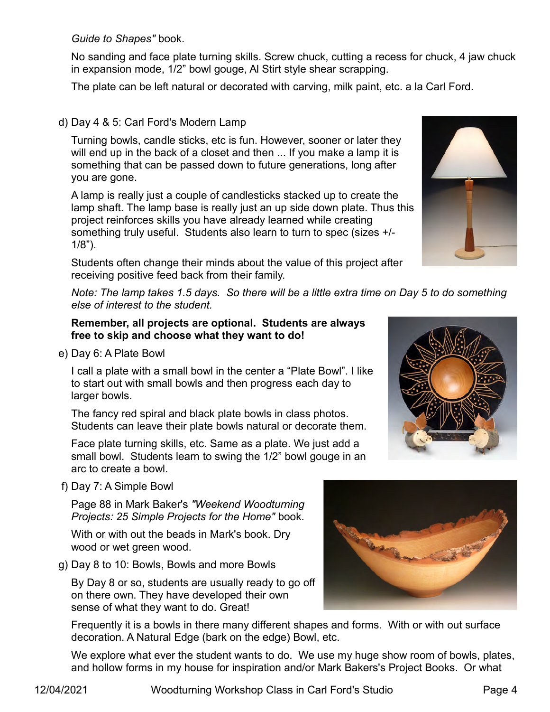*Guide to Shapes"* book.

No sanding and face plate turning skills. Screw chuck, cutting a recess for chuck, 4 jaw chuck in expansion mode, 1/2" bowl gouge, Al Stirt style shear scrapping.

The plate can be left natural or decorated with carving, milk paint, etc. a la Carl Ford.

### d) Day 4 & 5: Carl Ford's Modern Lamp

Turning bowls, candle sticks, etc is fun. However, sooner or later they will end up in the back of a closet and then ... If you make a lamp it is something that can be passed down to future generations, long after you are gone.

A lamp is really just a couple of candlesticks stacked up to create the lamp shaft. The lamp base is really just an up side down plate. Thus this project reinforces skills you have already learned while creating something truly useful. Students also learn to turn to spec (sizes +/- 1/8").

Students often change their minds about the value of this project after receiving positive feed back from their family.

*Note: The lamp takes 1.5 days. So there will be a little extra time on Day 5 to do something else of interest to the student.*

#### **Remember, all projects are optional. Students are always free to skip and choose what they want to do!**

e) Day 6: A Plate Bowl

I call a plate with a small bowl in the center a "Plate Bowl". I like to start out with small bowls and then progress each day to larger bowls.

The fancy red spiral and black plate bowls in class photos. Students can leave their plate bowls natural or decorate them.

Face plate turning skills, etc. Same as a plate. We just add a small bowl. Students learn to swing the 1/2" bowl gouge in an arc to create a bowl.

f) Day 7: A Simple Bowl

Page 88 in Mark Baker's *"Weekend Woodturning Projects: 25 Simple Projects for the Home"* book.

With or with out the beads in Mark's book. Dry wood or wet green wood.

g) Day 8 to 10: Bowls, Bowls and more Bowls

By Day 8 or so, students are usually ready to go off on there own. They have developed their own sense of what they want to do. Great!

Frequently it is a bowls in there many different shapes and forms. With or with out surface decoration. A Natural Edge (bark on the edge) Bowl, etc.

We explore what ever the student wants to do. We use my huge show room of bowls, plates, and hollow forms in my house for inspiration and/or Mark Bakers's Project Books. Or what



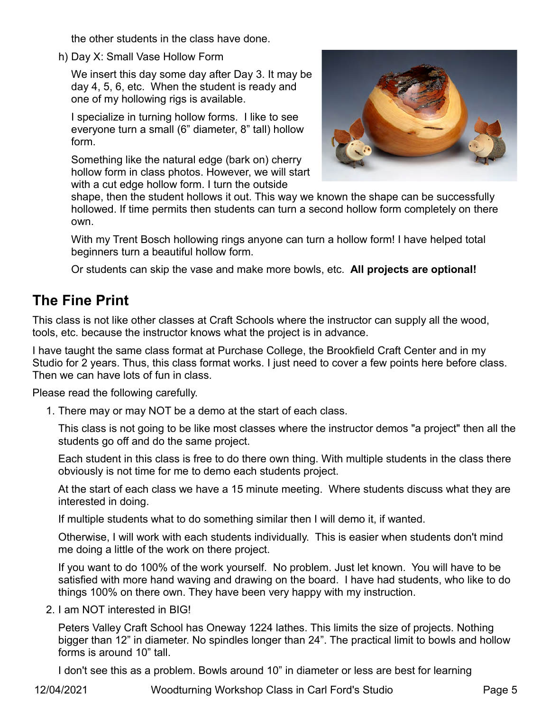the other students in the class have done.

h) Day X: Small Vase Hollow Form

We insert this day some day after Day 3. It may be day 4, 5, 6, etc. When the student is ready and one of my hollowing rigs is available.

I specialize in turning hollow forms. I like to see everyone turn a small (6" diameter, 8" tall) hollow form.

Something like the natural edge (bark on) cherry hollow form in class photos. However, we will start with a cut edge hollow form. I turn the outside



shape, then the student hollows it out. This way we known the shape can be successfully hollowed. If time permits then students can turn a second hollow form completely on there own.

With my Trent Bosch hollowing rings anyone can turn a hollow form! I have helped total beginners turn a beautiful hollow form.

Or students can skip the vase and make more bowls, etc. **All projects are optional!**

## **The Fine Print**

This class is not like other classes at Craft Schools where the instructor can supply all the wood, tools, etc. because the instructor knows what the project is in advance.

I have taught the same class format at Purchase College, the Brookfield Craft Center and in my Studio for 2 years. Thus, this class format works. I just need to cover a few points here before class. Then we can have lots of fun in class.

Please read the following carefully.

1. There may or may NOT be a demo at the start of each class.

This class is not going to be like most classes where the instructor demos "a project" then all the students go off and do the same project.

Each student in this class is free to do there own thing. With multiple students in the class there obviously is not time for me to demo each students project.

At the start of each class we have a 15 minute meeting. Where students discuss what they are interested in doing.

If multiple students what to do something similar then I will demo it, if wanted.

Otherwise, I will work with each students individually. This is easier when students don't mind me doing a little of the work on there project.

If you want to do 100% of the work yourself. No problem. Just let known. You will have to be satisfied with more hand waving and drawing on the board. I have had students, who like to do things 100% on there own. They have been very happy with my instruction.

2. I am NOT interested in BIG!

Peters Valley Craft School has Oneway 1224 lathes. This limits the size of projects. Nothing bigger than 12" in diameter. No spindles longer than 24". The practical limit to bowls and hollow forms is around 10" tall.

I don't see this as a problem. Bowls around 10" in diameter or less are best for learning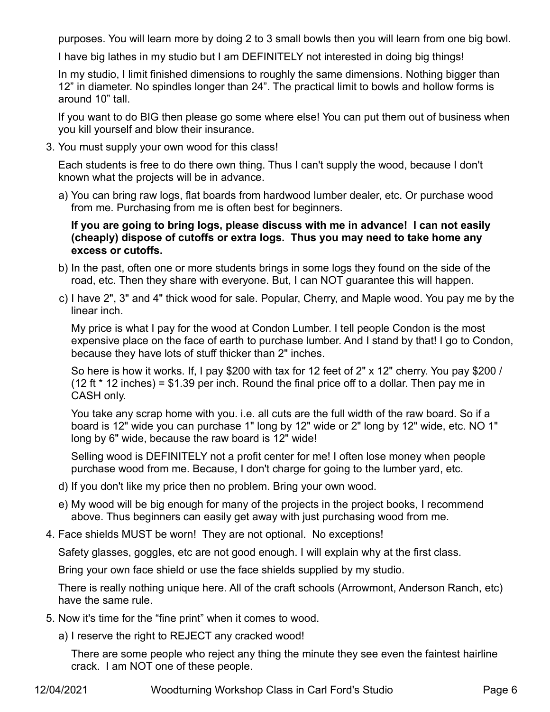purposes. You will learn more by doing 2 to 3 small bowls then you will learn from one big bowl.

I have big lathes in my studio but I am DEFINITELY not interested in doing big things!

In my studio, I limit finished dimensions to roughly the same dimensions. Nothing bigger than 12" in diameter. No spindles longer than 24". The practical limit to bowls and hollow forms is around 10" tall.

If you want to do BIG then please go some where else! You can put them out of business when you kill yourself and blow their insurance.

3. You must supply your own wood for this class!

Each students is free to do there own thing. Thus I can't supply the wood, because I don't known what the projects will be in advance.

 a) You can bring raw logs, flat boards from hardwood lumber dealer, etc. Or purchase wood from me. Purchasing from me is often best for beginners.

**If you are going to bring logs, please discuss with me in advance! I can not easily (cheaply) dispose of cutoffs or extra logs. Thus you may need to take home any excess or cutoffs.**

- b) In the past, often one or more students brings in some logs they found on the side of the road, etc. Then they share with everyone. But, I can NOT guarantee this will happen.
- c) I have 2", 3" and 4" thick wood for sale. Popular, Cherry, and Maple wood. You pay me by the linear inch.

My price is what I pay for the wood at Condon Lumber. I tell people Condon is the most expensive place on the face of earth to purchase lumber. And I stand by that! I go to Condon, because they have lots of stuff thicker than 2" inches.

So here is how it works. If, I pay \$200 with tax for 12 feet of 2" x 12" cherry. You pay \$200 / (12 ft  $*$  12 inches) = \$1.39 per inch. Round the final price off to a dollar. Then pay me in CASH only.

You take any scrap home with you. i.e. all cuts are the full width of the raw board. So if a board is 12" wide you can purchase 1" long by 12" wide or 2" long by 12" wide, etc. NO 1" long by 6" wide, because the raw board is 12" wide!

Selling wood is DEFINITELY not a profit center for me! I often lose money when people purchase wood from me. Because, I don't charge for going to the lumber yard, etc.

- d) If you don't like my price then no problem. Bring your own wood.
- e) My wood will be big enough for many of the projects in the project books, I recommend above. Thus beginners can easily get away with just purchasing wood from me.
- 4. Face shields MUST be worn! They are not optional. No exceptions!

Safety glasses, goggles, etc are not good enough. I will explain why at the first class.

Bring your own face shield or use the face shields supplied by my studio.

There is really nothing unique here. All of the craft schools (Arrowmont, Anderson Ranch, etc) have the same rule.

- 5. Now it's time for the "fine print" when it comes to wood.
	- a) I reserve the right to REJECT any cracked wood!

There are some people who reject any thing the minute they see even the faintest hairline crack. I am NOT one of these people.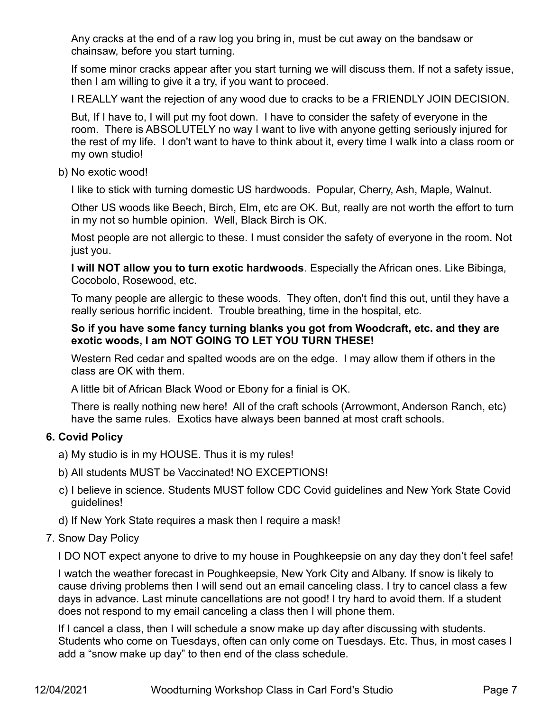Any cracks at the end of a raw log you bring in, must be cut away on the bandsaw or chainsaw, before you start turning.

If some minor cracks appear after you start turning we will discuss them. If not a safety issue, then I am willing to give it a try, if you want to proceed.

I REALLY want the rejection of any wood due to cracks to be a FRIENDLY JOIN DECISION.

But, If I have to, I will put my foot down. I have to consider the safety of everyone in the room. There is ABSOLUTELY no way I want to live with anyone getting seriously injured for the rest of my life. I don't want to have to think about it, every time I walk into a class room or my own studio!

#### b) No exotic wood!

I like to stick with turning domestic US hardwoods. Popular, Cherry, Ash, Maple, Walnut.

Other US woods like Beech, Birch, Elm, etc are OK. But, really are not worth the effort to turn in my not so humble opinion. Well, Black Birch is OK.

Most people are not allergic to these. I must consider the safety of everyone in the room. Not just you.

**I will NOT allow you to turn exotic hardwoods**. Especially the African ones. Like Bibinga, Cocobolo, Rosewood, etc.

To many people are allergic to these woods. They often, don't find this out, until they have a really serious horrific incident. Trouble breathing, time in the hospital, etc.

#### **So if you have some fancy turning blanks you got from Woodcraft, etc. and they are exotic woods, I am NOT GOING TO LET YOU TURN THESE!**

Western Red cedar and spalted woods are on the edge. I may allow them if others in the class are OK with them.

A little bit of African Black Wood or Ebony for a finial is OK.

There is really nothing new here! All of the craft schools (Arrowmont, Anderson Ranch, etc) have the same rules. Exotics have always been banned at most craft schools.

#### **6. Covid Policy**

- a) My studio is in my HOUSE. Thus it is my rules!
- b) All students MUST be Vaccinated! NO EXCEPTIONS!
- c) I believe in science. Students MUST follow CDC Covid guidelines and New York State Covid guidelines!
- d) If New York State requires a mask then I require a mask!

#### 7. Snow Day Policy

I DO NOT expect anyone to drive to my house in Poughkeepsie on any day they don't feel safe!

I watch the weather forecast in Poughkeepsie, New York City and Albany. If snow is likely to cause driving problems then I will send out an email canceling class. I try to cancel class a few days in advance. Last minute cancellations are not good! I try hard to avoid them. If a student does not respond to my email canceling a class then I will phone them.

If I cancel a class, then I will schedule a snow make up day after discussing with students. Students who come on Tuesdays, often can only come on Tuesdays. Etc. Thus, in most cases I add a "snow make up day" to then end of the class schedule.